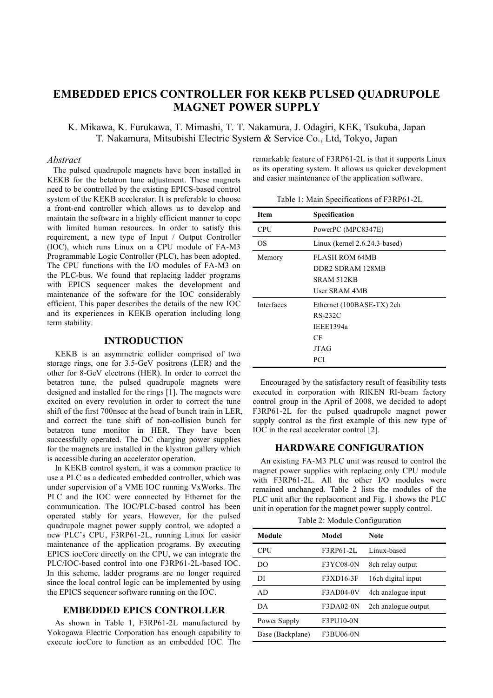# **EMBEDDED EPICS CONTROLLER FOR KEKB PULSED QUADRUPOLE MAGNET POWER SUPPLY**

K. Mikawa, K. Furukawa, T. Mimashi, T. T. Nakamura, J. Odagiri, KEK, Tsukuba, Japan T. Nakamura, Mitsubishi Electric System & Service Co., Ltd, Tokyo, Japan

## *Abstract*

The pulsed quadrupole magnets have been installed in KEKB for the betatron tune adjustment. These magnets need to be controlled by the existing EPICS-based control system of the KEKB accelerator. It is preferable to choose a front-end controller which allows us to develop and maintain the software in a highly efficient manner to cope with limited human resources. In order to satisfy this requirement, a new type of Input / Output Controller (IOC), which runs Linux on a CPU module of FA-M3 Programmable Logic Controller (PLC), has been adopted. The CPU functions with the I/O modules of FA-M3 on the PLC-bus. We found that replacing ladder programs with EPICS sequencer makes the development and maintenance of the software for the IOC considerably efficient. This paper describes the details of the new IOC and its experiences in KEKB operation including long term stability.

# **INTRODUCTION**

KEKB is an asymmetric collider comprised of two storage rings, one for 3.5-GeV positrons (LER) and the other for 8-GeV electrons (HER). In order to correct the betatron tune, the pulsed quadrupole magnets were designed and installed for the rings [1]. The magnets were excited on every revolution in order to correct the tune shift of the first 700nsec at the head of bunch train in LER, and correct the tune shift of non-collision bunch for betatron tune monitor in HER. They have been successfully operated. The DC charging power supplies for the magnets are installed in the klystron gallery which is accessible during an accelerator operation.

In KEKB control system, it was a common practice to use a PLC as a dedicated embedded controller, which was under supervision of a VME IOC running VxWorks. The PLC and the IOC were connected by Ethernet for the communication. The IOC/PLC-based control has been operated stably for years. However, for the pulsed quadrupole magnet power supply control, we adopted a new PLC's CPU, F3RP61-2L, running Linux for easier maintenance of the application programs. By executing EPICS iocCore directly on the CPU, we can integrate the PLC/IOC-based control into one F3RP61-2L-based IOC. In this scheme, ladder programs are no longer required since the local control logic can be implemented by using the EPICS sequencer software running on the IOC.

#### **EMBEDDED EPICS CONTROLLER**

As shown in Table 1, F3RP61-2L manufactured by Yokogawa Electric Corporation has enough capability to execute iocCore to function as an embedded IOC. The remarkable feature of F3RP61-2L is that it supports Linux as its operating system. It allows us quicker development and easier maintenance of the application software.

Table 1: Main Specifications of F3RP61-2L

| <b>Item</b>       | Specification                 |  |  |
|-------------------|-------------------------------|--|--|
| CPU               | PowerPC (MPC8347E)            |  |  |
| OS                | Linux (kernel 2.6.24.3-based) |  |  |
| Memory            | <b>FLASH ROM 64MB</b>         |  |  |
|                   | DDR2 SDRAM 128MB              |  |  |
|                   | SRAM 512KB                    |  |  |
|                   | User SRAM 4MB                 |  |  |
| <b>Interfaces</b> | Ethernet (100BASE-TX) 2ch     |  |  |
|                   | $RS-232C$                     |  |  |
|                   | <b>IEEE1394a</b>              |  |  |
|                   | CF                            |  |  |
|                   | <b>JTAG</b>                   |  |  |
|                   | PCI                           |  |  |

Encouraged by the satisfactory result of feasibility tests executed in corporation with RIKEN RI-beam factory control group in the April of 2008, we decided to adopt F3RP61-2L for the pulsed quadrupole magnet power supply control as the first example of this new type of IOC in the real accelerator control [2].

# **HARDWARE CONFIGURATION**

An existing FA-M3 PLC unit was reused to control the magnet power supplies with replacing only CPU module with F3RP61-2L. All the other I/O modules were remained unchanged. Table 2 lists the modules of the PLC unit after the replacement and Fig. 1 shows the PLC unit in operation for the magnet power supply control.

Table 2: Module Configuration

| Module           | Model            | <b>Note</b>         |
|------------------|------------------|---------------------|
| <b>CPU</b>       | F3RP61-2L        | Linux-based         |
| DO.              | <b>F3YC08-0N</b> | 8ch relay output    |
| DI               | F3XD16-3F        | 16ch digital input  |
| AD.              | F3AD04-0V        | 4ch analogue input  |
| DА               | $F3DA02-0N$      | 2ch analogue output |
| Power Supply     | F3PU10-0N        |                     |
| Base (Backplane) | F3BU06-0N        |                     |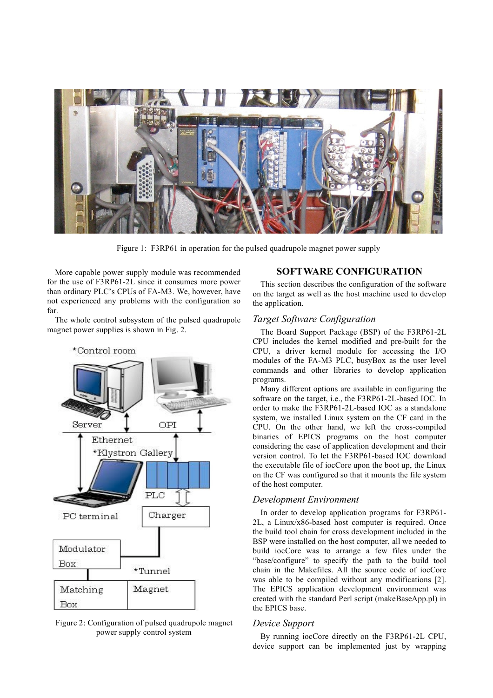

Figure 1: F3RP61 in operation for the pulsed quadrupole magnet power supply

More capable power supply module was recommended for the use of F3RP61-2L since it consumes more power than ordinary PLC's CPUs of FA-M3. We, however, have not experienced any problems with the configuration so far.

The whole control subsystem of the pulsed quadrupole magnet power supplies is shown in Fig. 2.



Figure 2: Configuration of pulsed quadrupole magnet power supply control system

# **SOFTWARE CONFIGURATION**

This section describes the configuration of the software on the target as well as the host machine used to develop the application.

## *Target Software Configuration*

The Board Support Package (BSP) of the F3RP61-2L CPU includes the kernel modified and pre-built for the CPU, a driver kernel module for accessing the I/O modules of the FA-M3 PLC, busyBox as the user level commands and other libraries to develop application programs.

Many different options are available in configuring the software on the target, i.e., the F3RP61-2L-based IOC. In order to make the F3RP61-2L-based IOC as a standalone system, we installed Linux system on the CF card in the CPU. On the other hand, we left the cross-compiled binaries of EPICS programs on the host computer considering the ease of application development and their version control. To let the F3RP61-based IOC download the executable file of iocCore upon the boot up, the Linux on the CF was configured so that it mounts the file system of the host computer.

#### *Development Environment*

In order to develop application programs for F3RP61- 2L, a Linux/x86-based host computer is required. Once the build tool chain for cross development included in the BSP were installed on the host computer, all we needed to build iocCore was to arrange a few files under the "base/configure" to specify the path to the build tool chain in the Makefiles. All the source code of iocCore was able to be compiled without any modifications [2]. The EPICS application development environment was created with the standard Perl script (makeBaseApp.pl) in the EPICS base.

#### *Device Support*

By running iocCore directly on the F3RP61-2L CPU, device support can be implemented just by wrapping